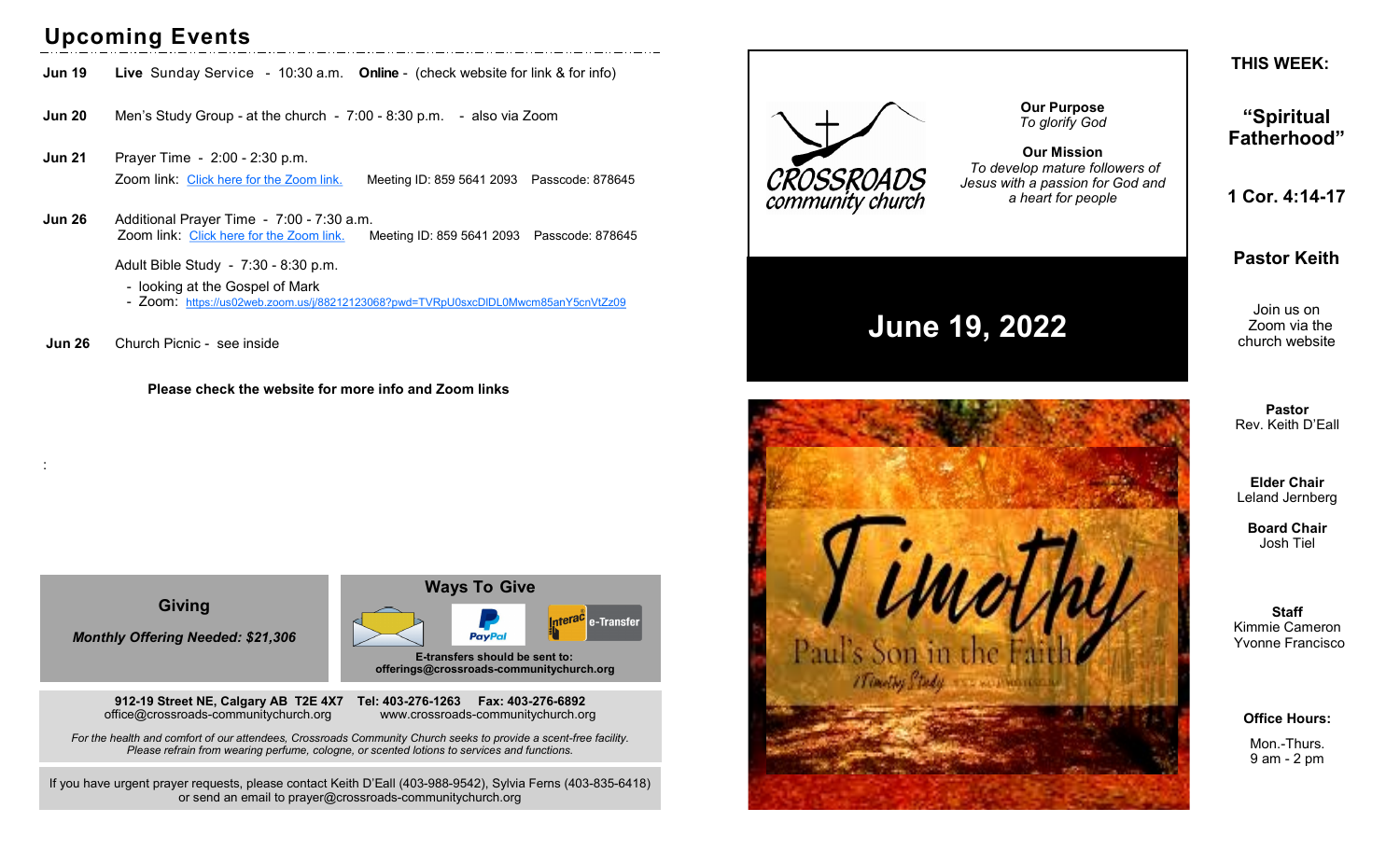## **Upcoming Events**

- **Jun 19 Live** Sunday Service 10:30 a.m. **Online** (check website for link & for info)
- **Jun 20** Men's Study Group at the church 7:00 8:30 p.m. also via Zoom
- **Jun 21** Prayer Time 2:00 2:30 p.m. Zoom link: [Click here for the Zoom link.](https://us02web.zoom.us/j/85956412093?pwd=b3AzaHorVFZiSGNPRUJiSnlDL1VBUT09) Meeting ID: 859 5641 2093 Passcode: 878645
- **Jun 26** Additional Prayer Time 7:00 7:30 a.m. Zoom link: [Click here for the Zoom link.](https://us02web.zoom.us/j/85956412093?pwd=b3AzaHorVFZiSGNPRUJiSnlDL1VBUT09) Meeting ID: 859 5641 2093 Passcode: 878645

Adult Bible Study - 7:30 - 8:30 p.m.

- looking at the Gospel of Mark
- Zoom: <https://us02web.zoom.us/j/88212123068?pwd=TVRpU0sxcDlDL0Mwcm85anY5cnVtZz09>
- **Jun 26** Church Picnic see inside

:

 **Please check the website for more info and Zoom links**

**Giving**

*Monthly Offering Needed: \$21,306*

**912-19 Street NE, Calgary AB T2E 4X7 Tel: 403-276-1263 Fax: 403-276-6892** office@crossroads-communitychurch.org www.crossroads-communitychurch.org

 **Ways To Give** Interac e-Transfer **PayPa E-transfers should be sent to: offerings@crossroads-communitychurch.org** 

*For the health and comfort of our attendees, Crossroads Community Church seeks to provide a scent-free facility. Please refrain from wearing perfume, cologne, or scented lotions to services and functions.*

If you have urgent prayer requests, please contact Keith D'Eall (403-988-9542), Sylvia Ferns (403-835-6418) or send an email to prayer@crossroads-communitychurch.org